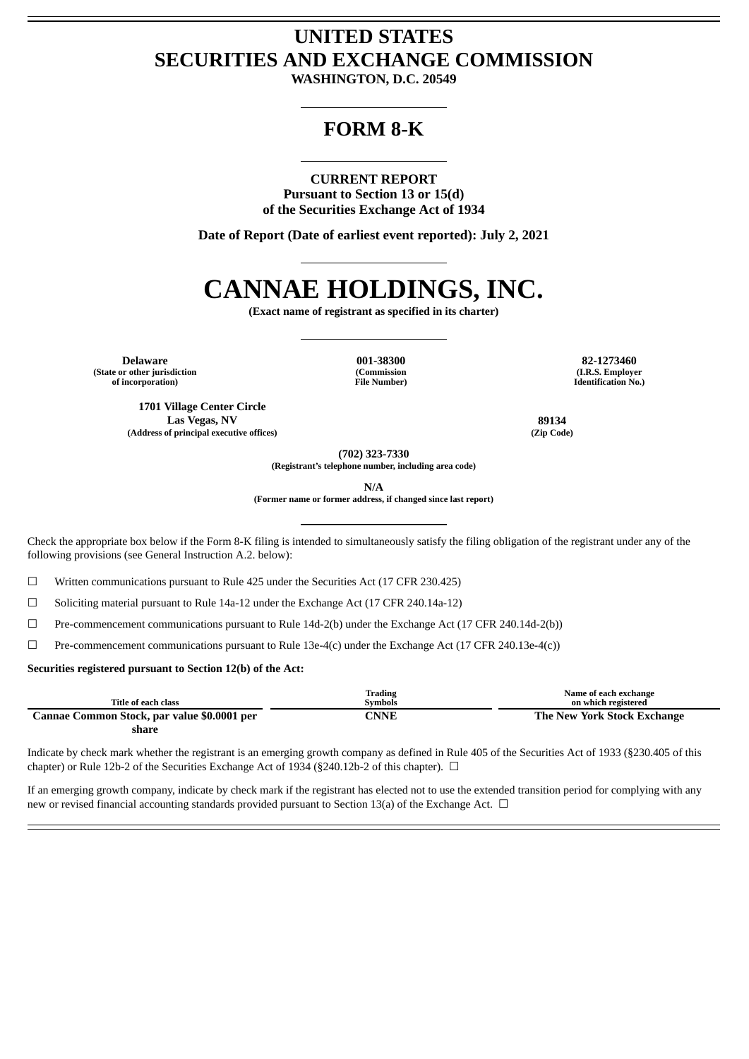# **UNITED STATES SECURITIES AND EXCHANGE COMMISSION**

**WASHINGTON, D.C. 20549**

# **FORM 8-K**

**CURRENT REPORT Pursuant to Section 13 or 15(d) of the Securities Exchange Act of 1934**

**Date of Report (Date of earliest event reported): July 2, 2021**

# **CANNAE HOLDINGS, INC.**

**(Exact name of registrant as specified in its charter)**

**Delaware 001-38300 82-1273460 (State or other jurisdiction of incorporation)**

**(Commission File Number)**

**(I.R.S. Employer Identification No.)**

**1701 Village Center Circle Las Vegas, NV 89134 (Address of principal executive offices) (Zip Code)**

**(702) 323-7330**

**(Registrant's telephone number, including area code)**

**N/A**

**(Former name or former address, if changed since last report)**

Check the appropriate box below if the Form 8-K filing is intended to simultaneously satisfy the filing obligation of the registrant under any of the following provisions (see General Instruction A.2. below):

☐ Written communications pursuant to Rule 425 under the Securities Act (17 CFR 230.425)

☐ Soliciting material pursuant to Rule 14a-12 under the Exchange Act (17 CFR 240.14a-12)

☐ Pre-commencement communications pursuant to Rule 14d-2(b) under the Exchange Act (17 CFR 240.14d-2(b))

☐ Pre-commencement communications pursuant to Rule 13e-4(c) under the Exchange Act (17 CFR 240.13e-4(c))

#### **Securities registered pursuant to Section 12(b) of the Act:**

|                                             | Trading | Name of each exchange       |
|---------------------------------------------|---------|-----------------------------|
| Title of each class                         | Symbols | on which registered         |
| Cannae Common Stock, par value \$0.0001 per | CNNE    | The New York Stock Exchange |
| share                                       |         |                             |

Indicate by check mark whether the registrant is an emerging growth company as defined in Rule 405 of the Securities Act of 1933 (§230.405 of this chapter) or Rule 12b-2 of the Securities Exchange Act of 1934 (§240.12b-2 of this chapter).  $\Box$ 

If an emerging growth company, indicate by check mark if the registrant has elected not to use the extended transition period for complying with any new or revised financial accounting standards provided pursuant to Section 13(a) of the Exchange Act. □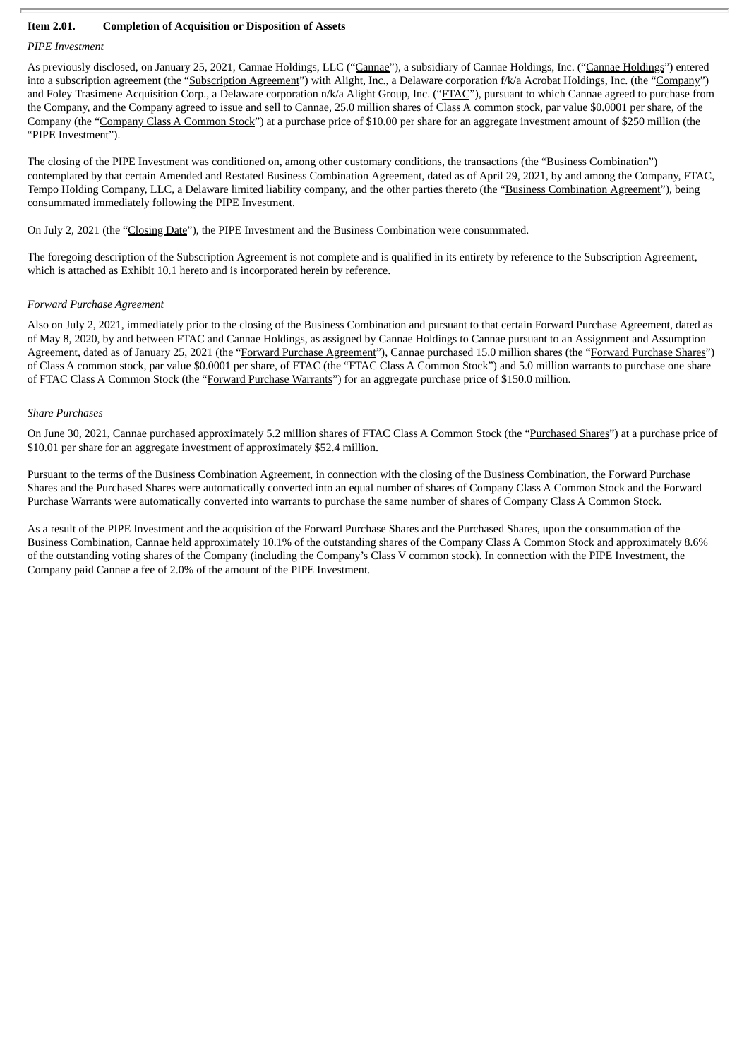#### **Item 2.01. Completion of Acquisition or Disposition of Assets**

#### *PIPE Investment*

As previously disclosed, on January 25, 2021, Cannae Holdings, LLC ("Cannae"), a subsidiary of Cannae Holdings, Inc. ("Cannae Holdings") entered into a subscription agreement (the "Subscription Agreement") with Alight, Inc., a Delaware corporation f/k/a Acrobat Holdings, Inc. (the "Company") and Foley Trasimene Acquisition Corp., a Delaware corporation n/k/a Alight Group, Inc. ("FTAC"), pursuant to which Cannae agreed to purchase from the Company, and the Company agreed to issue and sell to Cannae, 25.0 million shares of Class A common stock, par value \$0.0001 per share, of the Company (the "Company Class A Common Stock") at a purchase price of \$10.00 per share for an aggregate investment amount of \$250 million (the "PIPE Investment").

The closing of the PIPE Investment was conditioned on, among other customary conditions, the transactions (the "Business Combination") contemplated by that certain Amended and Restated Business Combination Agreement, dated as of April 29, 2021, by and among the Company, FTAC, Tempo Holding Company, LLC, a Delaware limited liability company, and the other parties thereto (the "Business Combination Agreement"), being consummated immediately following the PIPE Investment.

On July 2, 2021 (the "Closing Date"), the PIPE Investment and the Business Combination were consummated.

The foregoing description of the Subscription Agreement is not complete and is qualified in its entirety by reference to the Subscription Agreement, which is attached as Exhibit 10.1 hereto and is incorporated herein by reference.

#### *Forward Purchase Agreement*

Also on July 2, 2021, immediately prior to the closing of the Business Combination and pursuant to that certain Forward Purchase Agreement, dated as of May 8, 2020, by and between FTAC and Cannae Holdings, as assigned by Cannae Holdings to Cannae pursuant to an Assignment and Assumption Agreement, dated as of January 25, 2021 (the "Forward Purchase Agreement"), Cannae purchased 15.0 million shares (the "Forward Purchase Shares") of Class A common stock, par value \$0.0001 per share, of FTAC (the "FTAC Class A Common Stock") and 5.0 million warrants to purchase one share of FTAC Class A Common Stock (the "Forward Purchase Warrants") for an aggregate purchase price of \$150.0 million.

#### *Share Purchases*

On June 30, 2021, Cannae purchased approximately 5.2 million shares of FTAC Class A Common Stock (the "Purchased Shares") at a purchase price of \$10.01 per share for an aggregate investment of approximately \$52.4 million.

Pursuant to the terms of the Business Combination Agreement, in connection with the closing of the Business Combination, the Forward Purchase Shares and the Purchased Shares were automatically converted into an equal number of shares of Company Class A Common Stock and the Forward Purchase Warrants were automatically converted into warrants to purchase the same number of shares of Company Class A Common Stock.

As a result of the PIPE Investment and the acquisition of the Forward Purchase Shares and the Purchased Shares, upon the consummation of the Business Combination, Cannae held approximately 10.1% of the outstanding shares of the Company Class A Common Stock and approximately 8.6% of the outstanding voting shares of the Company (including the Company's Class V common stock). In connection with the PIPE Investment, the Company paid Cannae a fee of 2.0% of the amount of the PIPE Investment.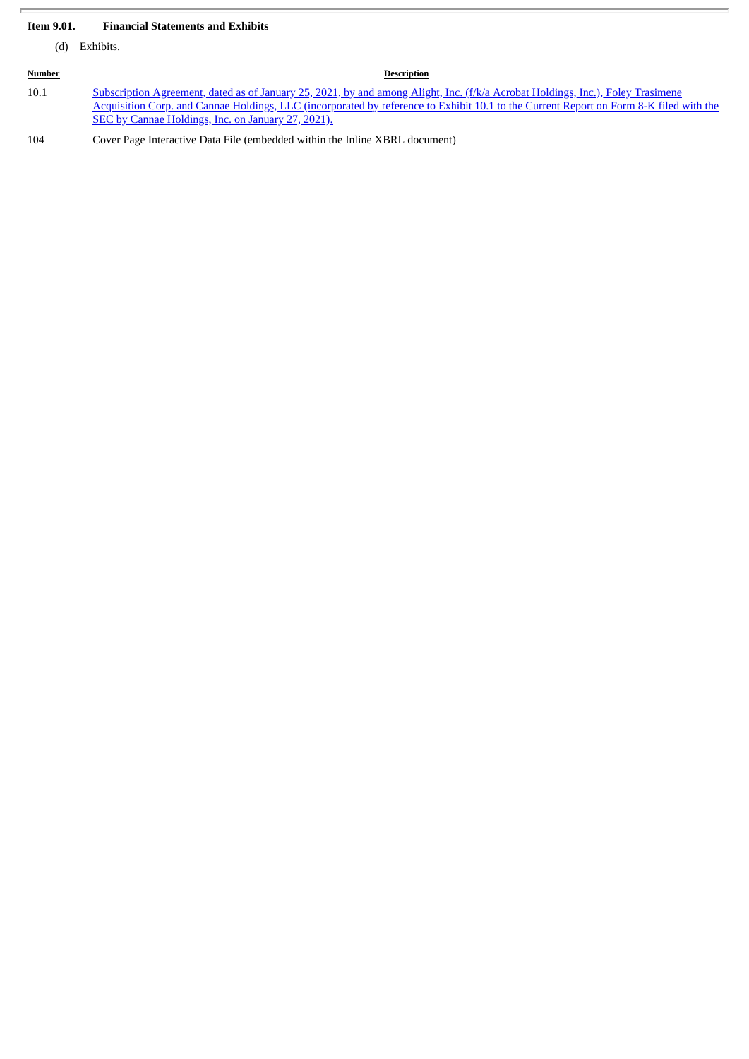## **Item 9.01. Financial Statements and Exhibits**

(d) Exhibits.

| <b>Number</b> | <b>Description</b>                                                                                                                                                                                                                                                                                                                     |
|---------------|----------------------------------------------------------------------------------------------------------------------------------------------------------------------------------------------------------------------------------------------------------------------------------------------------------------------------------------|
| 10.1          | Subscription Agreement, dated as of January 25, 2021, by and among Alight, Inc. (f/k/a Acrobat Holdings, Inc.), Foley Trasimene<br>Acquisition Corp. and Cannae Holdings, LLC (incorporated by reference to Exhibit 10.1 to the Current Report on Form 8-K filed with the<br><b>SEC by Cannae Holdings, Inc. on January 27, 2021).</b> |
| 104           | Cover Page Interactive Data File (embedded within the Inline XBRL document)                                                                                                                                                                                                                                                            |